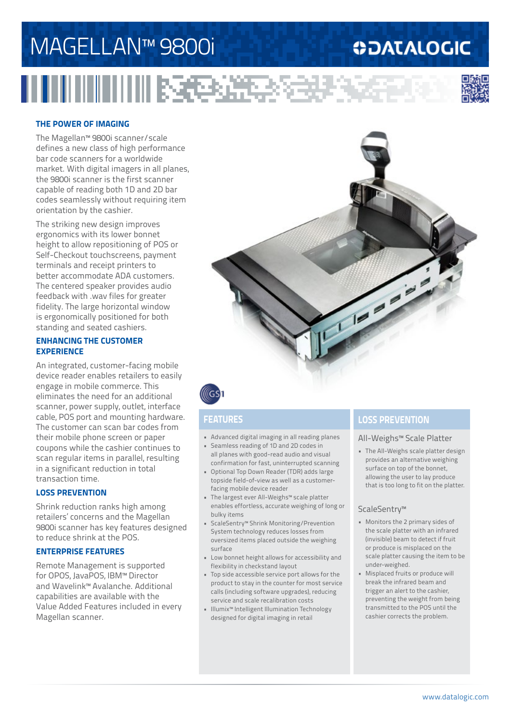# MAGELLAN™ 9800i

<u>H HIII III III III ISEED XXIII AS</u>

## **ODATALOGIC**



### **THE POWER OF IMAGING**

The Magellan™ 9800i scanner/scale defines a new class of high performance bar code scanners for a worldwide market. With digital imagers in all planes, the 9800i scanner is the first scanner capable of reading both 1D and 2D bar codes seamlessly without requiring item orientation by the cashier.

The striking new design improves ergonomics with its lower bonnet height to allow repositioning of POS or Self-Checkout touchscreens, payment terminals and receipt printers to better accommodate ADA customers. The centered speaker provides audio feedback with .wav files for greater fidelity. The large horizontal window is ergonomically positioned for both standing and seated cashiers.

### **ENHANCING THE CUSTOMER EXPERIENCE**

An integrated, customer-facing mobile device reader enables retailers to easily engage in mobile commerce. This eliminates the need for an additional scanner, power supply, outlet, interface cable, POS port and mounting hardware. The customer can scan bar codes from their mobile phone screen or paper coupons while the cashier continues to scan regular items in parallel, resulting in a significant reduction in total transaction time.

### **LOSS PREVENTION**

Shrink reduction ranks high among retailers' concerns and the Magellan 9800i scanner has key features designed to reduce shrink at the POS.

### **ENTERPRISE FEATURES**

Remote Management is supported for OPOS, JavaPOS, IBM™ Director and Wavelink™ Avalanche. Additional capabilities are available with the Value Added Features included in every Magellan scanner.





- Advanced digital imaging in all reading planes
- Seamless reading of 1D and 2D codes in all planes with good-read audio and visual confirmation for fast, uninterrupted scanning
- Optional Top Down Reader (TDR) adds large topside field-of-view as well as a customerfacing mobile device reader
- The largest ever All-Weighs™ scale platter enables effortless, accurate weighing of long or bulky items
- ScaleSentry™ Shrink Monitoring/Prevention System technology reduces losses from oversized items placed outside the weighing surface
- Low bonnet height allows for accessibility and flexibility in checkstand layout
- Top side accessible service port allows for the product to stay in the counter for most service calls (including software upgrades), reducing service and scale recalibration costs
- Illumix™ Intelligent Illumination Technology designed for digital imaging in retail

### **FEATURES LOSS PREVENTION**

### All-Weighs™ Scale Platter

• The All-Weighs scale platter design provides an alternative weighing surface on top of the bonnet, allowing the user to lay produce that is too long to fit on the platter.

### ScaleSentry™

- Monitors the 2 primary sides of the scale platter with an infrared (invisible) beam to detect if fruit or produce is misplaced on the scale platter causing the item to be under-weighed.
- Misplaced fruits or produce will break the infrared beam and trigger an alert to the cashier, preventing the weight from being transmitted to the POS until the cashier corrects the problem.